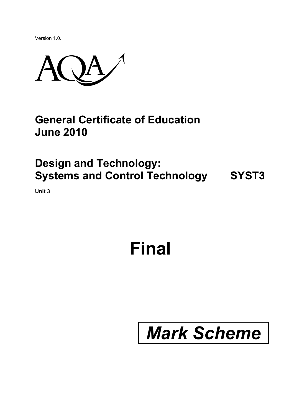Version 1.0.



#### **General Certificate of Education June 2010**

### **Design and Technology: Systems and Control Technology SYST3**

**Unit 3** 

## **Final**

# *Mark Scheme*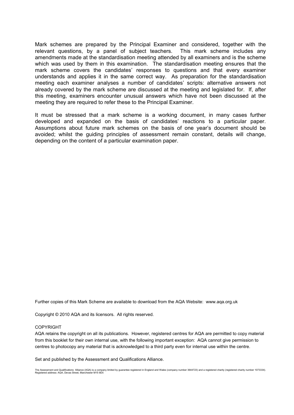Mark schemes are prepared by the Principal Examiner and considered, together with the relevant questions, by a panel of subject teachers. This mark scheme includes any amendments made at the standardisation meeting attended by all examiners and is the scheme which was used by them in this examination. The standardisation meeting ensures that the mark scheme covers the candidates' responses to questions and that every examiner understands and applies it in the same correct way. As preparation for the standardisation meeting each examiner analyses a number of candidates' scripts: alternative answers not already covered by the mark scheme are discussed at the meeting and legislated for. If, after this meeting, examiners encounter unusual answers which have not been discussed at the meeting they are required to refer these to the Principal Examiner.

It must be stressed that a mark scheme is a working document, in many cases further developed and expanded on the basis of candidates' reactions to a particular paper. Assumptions about future mark schemes on the basis of one year's document should be avoided; whilst the guiding principles of assessment remain constant, details will change, depending on the content of a particular examination paper.

Further copies of this Mark Scheme are available to download from the AQA Website: www.aqa.org.uk

Copyright © 2010 AQA and its licensors. All rights reserved.

#### **COPYRIGHT**

AQA retains the copyright on all its publications. However, registered centres for AQA are permitted to copy material from this booklet for their own internal use, with the following important exception: AQA cannot give permission to centres to photocopy any material that is acknowledged to a third party even for internal use within the centre.

Set and published by the Assessment and Qualifications Alliance.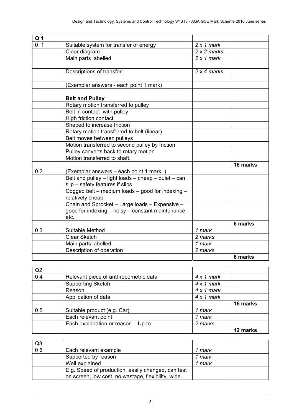| Q <sub>1</sub> |                                                     |                   |          |
|----------------|-----------------------------------------------------|-------------------|----------|
| 0 <sub>1</sub> | Suitable system for transfer of energy              | $2 \times 1$ mark |          |
|                | Clear diagram                                       | $2x2$ marks       |          |
|                | Main parts labelled                                 | $2 \times 1$ mark |          |
|                |                                                     |                   |          |
|                | Descriptions of transfer:                           | 2 x 4 marks       |          |
|                |                                                     |                   |          |
|                | (Exemplar answers - each point 1 mark)              |                   |          |
|                |                                                     |                   |          |
|                | <b>Belt and Pulley</b>                              |                   |          |
|                | Rotary motion transferred to pulley                 |                   |          |
|                | Belt in contact with pulley                         |                   |          |
|                | High friction contact                               |                   |          |
|                | Shaped to increase friction                         |                   |          |
|                | Rotary motion transferred to belt (linear)          |                   |          |
|                | Belt moves between pulleys                          |                   |          |
|                | Motion transferred to second pulley by friction     |                   |          |
|                | Pulley converts back to rotary motion               |                   |          |
|                | Motion transferred to shaft.                        |                   |          |
|                |                                                     |                   | 16 marks |
| 0 <sub>2</sub> | (Exemplar answers - each point 1 mark)              |                   |          |
|                | Belt and pulley - light loads - cheap - quiet - can |                   |          |
|                | slip - safety features if slips                     |                   |          |
|                | Cogged belt - medium loads - good for indexing -    |                   |          |
|                | relatively cheap                                    |                   |          |
|                | Chain and Sprocket - Large loads - Expensive -      |                   |          |
|                | good for indexing – noisy – constant maintenance    |                   |          |
|                | etc.                                                |                   |          |
|                |                                                     |                   | 6 marks  |
| 0 <sub>3</sub> | Suitable Method                                     | 1 mark            |          |
|                | <b>Clear Sketch</b>                                 | 2 marks           |          |
|                | Main parts labelled                                 | 1 mark            |          |
|                | Description of operation                            | 2 marks           |          |
|                |                                                     |                   | 6 marks  |

| Q2             |                                       |                   |          |
|----------------|---------------------------------------|-------------------|----------|
| 0 <sub>4</sub> | Relevant piece of anthropometric data | $4 \times 1$ mark |          |
|                | <b>Supporting Sketch</b>              | $4 \times 1$ mark |          |
|                | Reason                                | $4 \times 1$ mark |          |
|                | Application of data                   | $4 \times 1$ mark |          |
|                |                                       |                   | 16 marks |
| 0 <sub>5</sub> | Suitable product (e.g. Car)           | 1 mark            |          |
|                | Each relevant point                   | 1 mark            |          |
|                | Each explanation or reason - Up to    | 2 marks           |          |
|                |                                       |                   | 12 marks |

| Q <sub>3</sub>  |                                                    |        |  |
|-----------------|----------------------------------------------------|--------|--|
| $\overline{06}$ | Each relevant example                              | 1 mark |  |
|                 | Supported by reason                                | 1 mark |  |
|                 | Well explained                                     | 1 mark |  |
|                 | E.g. Speed of production, easily changed, can test |        |  |
|                 | on screen, low cost, no wastage, flexibility, wide |        |  |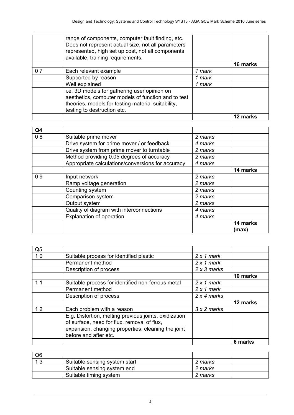|     |                                                                                                                                                                                                   |        | 12 marks |
|-----|---------------------------------------------------------------------------------------------------------------------------------------------------------------------------------------------------|--------|----------|
|     | i.e. 3D models for gathering user opinion on<br>aesthetics, computer models of function and to test<br>theories, models for testing material suitability,<br>testing to destruction etc.          |        |          |
|     | Well explained                                                                                                                                                                                    | 1 mark |          |
|     | Supported by reason                                                                                                                                                                               | 1 mark |          |
| 0 7 | Each relevant example                                                                                                                                                                             | 1 mark |          |
|     |                                                                                                                                                                                                   |        | 16 marks |
|     | range of components, computer fault finding, etc.<br>Does not represent actual size, not all parameters<br>represented, high set up cost, not all components<br>available, training requirements. |        |          |

| Q4 |                                                   |         |                   |
|----|---------------------------------------------------|---------|-------------------|
| 08 | Suitable prime mover                              | 2 marks |                   |
|    | Drive system for prime mover / or feedback        | 4 marks |                   |
|    | Drive system from prime mover to turntable        | 2 marks |                   |
|    | Method providing 0.05 degrees of accuracy         | 2 marks |                   |
|    | Appropriate calculations/conversions for accuracy | 4 marks |                   |
|    |                                                   |         | 14 marks          |
| 09 | Input network                                     | 2 marks |                   |
|    | Ramp voltage generation                           | 2 marks |                   |
|    | Counting system                                   | 2 marks |                   |
|    | Comparison system                                 | 2 marks |                   |
|    | Output system                                     | 2 marks |                   |
|    | Quality of diagram with interconnections          | 4 marks |                   |
|    | Explanation of operation                          | 4 marks |                   |
|    |                                                   |         | 14 marks<br>(max) |

| Q <sub>5</sub> |                                                       |                    |          |
|----------------|-------------------------------------------------------|--------------------|----------|
| 10             | Suitable process for identified plastic               | $2 \times 1$ mark  |          |
|                | Permanent method                                      | $2 \times 1$ mark  |          |
|                | Description of process                                | 2 x 3 marks        |          |
|                |                                                       |                    | 10 marks |
| 1 <sub>1</sub> | Suitable process for identified non-ferrous metal     | $2 \times 1$ mark  |          |
|                | Permanent method                                      | $2 \times 1$ mark  |          |
|                | Description of process                                | 2 x 4 marks        |          |
|                |                                                       |                    | 12 marks |
| 12             | Each problem with a reason                            | $3 \times 2$ marks |          |
|                | E.g. Distortion, melting previous joints, oxidization |                    |          |
|                | of surface, need for flux, removal of flux,           |                    |          |
|                | expansion, changing properties, cleaning the joint    |                    |          |
|                | before and after etc.                                 |                    |          |
|                |                                                       |                    | 6 marks  |

| Q <sub>6</sub> |                               |         |  |
|----------------|-------------------------------|---------|--|
|                | Suitable sensing system start | 2 marks |  |
|                | Suitable sensing system end   | 2 marks |  |
|                | Suitable timing system        | 2 marks |  |